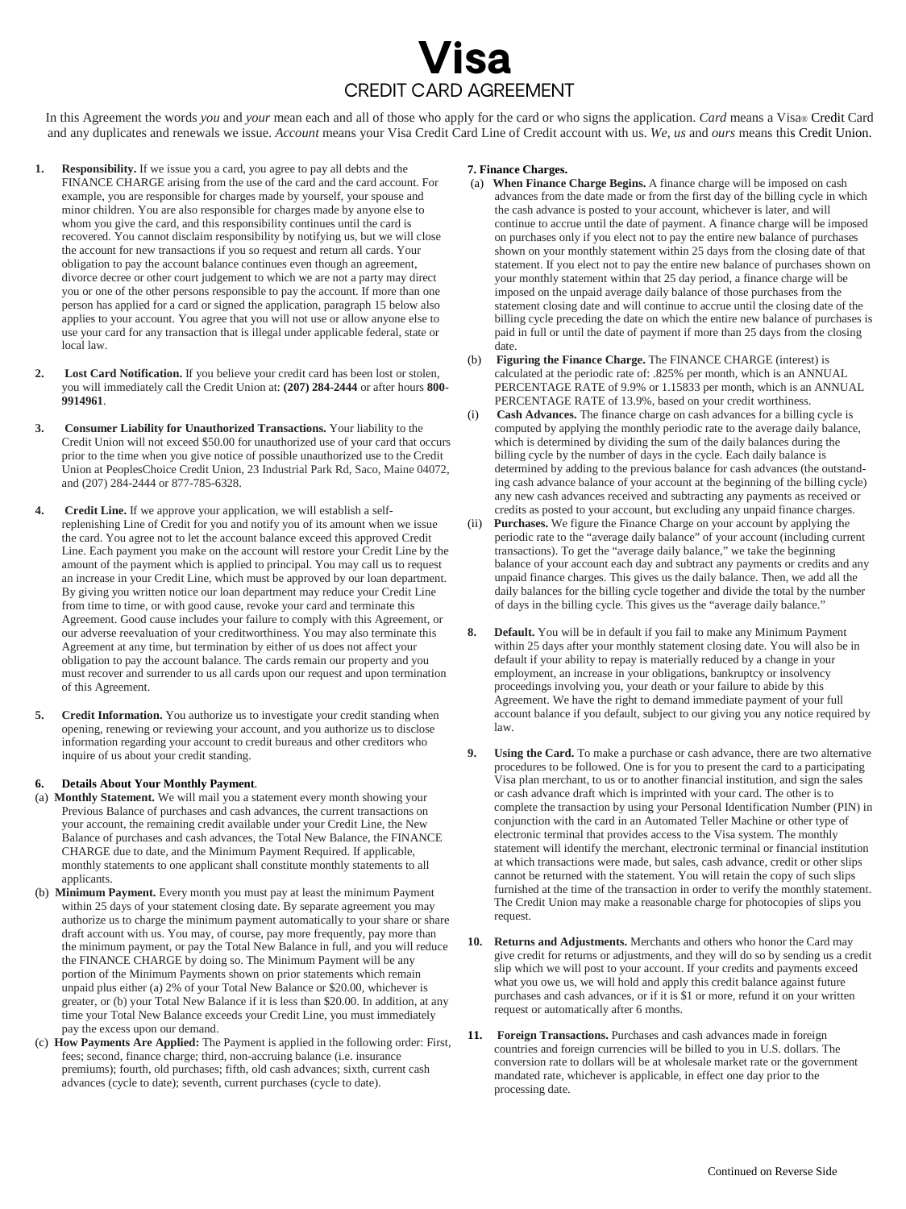# **Visa** CREDIT CARD AGREEMENT

In this Agreement the words *you* and *your* mean each and all of those who apply for the card or who signs the application. *Card* means a Visa® Credit Card and any duplicates and renewals we issue. *Account* means your Visa Credit Card Line of Credit account with us. *We, us* and *ours* means this Credit Union.

- **1. Responsibility.** If we issue you a card, you agree to pay all debts and the FINANCE CHARGE arising from the use of the card and the card account. For example, you are responsible for charges made by yourself, your spouse and minor children. You are also responsible for charges made by anyone else to whom you give the card, and this responsibility continues until the card is recovered. You cannot disclaim responsibility by notifying us, but we will close the account for new transactions if you so request and return all cards. Your obligation to pay the account balance continues even though an agreement, divorce decree or other court judgement to which we are not a party may direct you or one of the other persons responsible to pay the account. If more than one person has applied for a card or signed the application, paragraph 15 below also applies to your account. You agree that you will not use or allow anyone else to use your card for any transaction that is illegal under applicable federal, state or local law.
- **2. Lost Card Notification.** If you believe your credit card has been lost or stolen, you will immediately call the Credit Union at: **(207) 284-2444** or after hours **800- 9914961**.
- **3. Consumer Liability for Unauthorized Transactions.** Your liability to the Credit Union will not exceed \$50.00 for unauthorized use of your card that occurs prior to the time when you give notice of possible unauthorized use to the Credit Union at PeoplesChoice Credit Union, 23 Industrial Park Rd, Saco, Maine 04072, and (207) 284-2444 or 877-785-6328.
- **4. Credit Line.** If we approve your application, we will establish a selfreplenishing Line of Credit for you and notify you of its amount when we issue the card. You agree not to let the account balance exceed this approved Credit Line. Each payment you make on the account will restore your Credit Line by the amount of the payment which is applied to principal. You may call us to request an increase in your Credit Line, which must be approved by our loan department. By giving you written notice our loan department may reduce your Credit Line from time to time, or with good cause, revoke your card and terminate this Agreement. Good cause includes your failure to comply with this Agreement, or our adverse reevaluation of your creditworthiness. You may also terminate this Agreement at any time, but termination by either of us does not affect your obligation to pay the account balance. The cards remain our property and you must recover and surrender to us all cards upon our request and upon termination of this Agreement.
- **5. Credit Information.** You authorize us to investigate your credit standing when opening, renewing or reviewing your account, and you authorize us to disclose information regarding your account to credit bureaus and other creditors who inquire of us about your credit standing.

#### **6. Details About Your Monthly Payment**.

- (a) **Monthly Statement.** We will mail you a statement every month showing your Previous Balance of purchases and cash advances, the current transactions on your account, the remaining credit available under your Credit Line, the New Balance of purchases and cash advances, the Total New Balance, the FINANCE CHARGE due to date, and the Minimum Payment Required. If applicable, monthly statements to one applicant shall constitute monthly statements to all applicants.
- (b) **Minimum Payment.** Every month you must pay at least the minimum Payment within 25 days of your statement closing date. By separate agreement you may authorize us to charge the minimum payment automatically to your share or share draft account with us. You may, of course, pay more frequently, pay more than the minimum payment, or pay the Total New Balance in full, and you will reduce the FINANCE CHARGE by doing so. The Minimum Payment will be any portion of the Minimum Payments shown on prior statements which remain unpaid plus either (a) 2% of your Total New Balance or \$20.00, whichever is greater, or (b) your Total New Balance if it is less than \$20.00. In addition, at any time your Total New Balance exceeds your Credit Line, you must immediately pay the excess upon our demand.
- (c) **How Payments Are Applied:** The Payment is applied in the following order: First, fees; second, finance charge; third, non-accruing balance (i.e. insurance premiums); fourth, old purchases; fifth, old cash advances; sixth, current cash advances (cycle to date); seventh, current purchases (cycle to date).

### **7. Finance Charges.**

- (a) **When Finance Charge Begins.** A finance charge will be imposed on cash advances from the date made or from the first day of the billing cycle in which the cash advance is posted to your account, whichever is later, and will continue to accrue until the date of payment. A finance charge will be imposed on purchases only if you elect not to pay the entire new balance of purchases shown on your monthly statement within 25 days from the closing date of that statement. If you elect not to pay the entire new balance of purchases shown on your monthly statement within that 25 day period, a finance charge will be imposed on the unpaid average daily balance of those purchases from the statement closing date and will continue to accrue until the closing date of the billing cycle preceding the date on which the entire new balance of purchases is paid in full or until the date of payment if more than 25 days from the closing date.
- (b) **Figuring the Finance Charge.** The FINANCE CHARGE (interest) is calculated at the periodic rate of: .825% per month, which is an ANNUAL PERCENTAGE RATE of 9.9% or 1.15833 per month, which is an ANNUAL PERCENTAGE RATE of 13.9%, based on your credit worthiness.
- Cash Advances. The finance charge on cash advances for a billing cycle is computed by applying the monthly periodic rate to the average daily balance, which is determined by dividing the sum of the daily balances during the billing cycle by the number of days in the cycle. Each daily balance is determined by adding to the previous balance for cash advances (the outstanding cash advance balance of your account at the beginning of the billing cycle) any new cash advances received and subtracting any payments as received or credits as posted to your account, but excluding any unpaid finance charges.
- Purchases. We figure the Finance Charge on your account by applying the periodic rate to the "average daily balance" of your account (including current transactions). To get the "average daily balance," we take the beginning balance of your account each day and subtract any payments or credits and any unpaid finance charges. This gives us the daily balance. Then, we add all the daily balances for the billing cycle together and divide the total by the number of days in the billing cycle. This gives us the "average daily balance."
- **8. Default.** You will be in default if you fail to make any Minimum Payment within 25 days after your monthly statement closing date. You will also be in default if your ability to repay is materially reduced by a change in your employment, an increase in your obligations, bankruptcy or insolvency proceedings involving you, your death or your failure to abide by this Agreement. We have the right to demand immediate payment of your full account balance if you default, subject to our giving you any notice required by law.
- **9. Using the Card.** To make a purchase or cash advance, there are two alternative procedures to be followed. One is for you to present the card to a participating Visa plan merchant, to us or to another financial institution, and sign the sales or cash advance draft which is imprinted with your card. The other is to complete the transaction by using your Personal Identification Number (PIN) in conjunction with the card in an Automated Teller Machine or other type of electronic terminal that provides access to the Visa system. The monthly statement will identify the merchant, electronic terminal or financial institution at which transactions were made, but sales, cash advance, credit or other slips cannot be returned with the statement. You will retain the copy of such slips furnished at the time of the transaction in order to verify the monthly statement. The Credit Union may make a reasonable charge for photocopies of slips you request.
- **10. Returns and Adjustments.** Merchants and others who honor the Card may give credit for returns or adjustments, and they will do so by sending us a credit slip which we will post to your account. If your credits and payments exceed what you owe us, we will hold and apply this credit balance against future purchases and cash advances, or if it is \$1 or more, refund it on your written request or automatically after 6 months.
- **11. Foreign Transactions.** Purchases and cash advances made in foreign countries and foreign currencies will be billed to you in U.S. dollars. The conversion rate to dollars will be at wholesale market rate or the government mandated rate, whichever is applicable, in effect one day prior to the processing date.